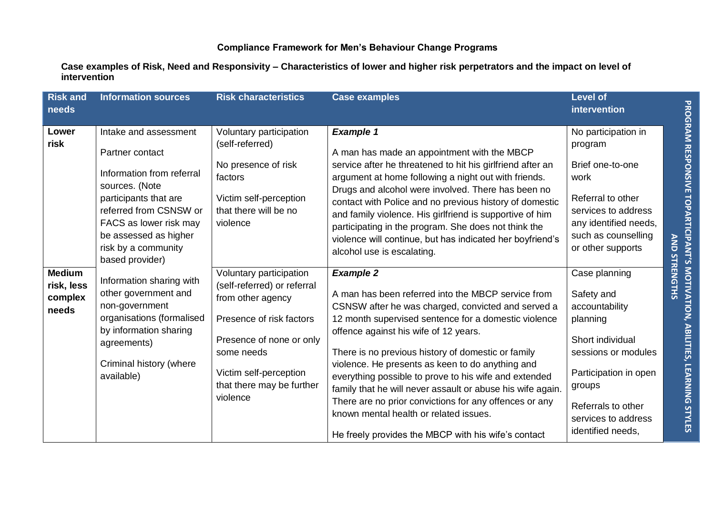**Case examples of Risk, Need and Responsivity – Characteristics of lower and higher risk perpetrators and the impact on level of intervention** 

| <b>Risk and</b><br>needs                        | <b>Information sources</b>                                                                                                                                                                                                              | <b>Risk characteristics</b>                                                                                                                                                                                          | <b>Case examples</b>                                                                                                                                                                                                                                                                                                                                                                                                                                                                                                                                                                                                      | <b>Level of</b><br>intervention                                                                                                                                                                           |                      |
|-------------------------------------------------|-----------------------------------------------------------------------------------------------------------------------------------------------------------------------------------------------------------------------------------------|----------------------------------------------------------------------------------------------------------------------------------------------------------------------------------------------------------------------|---------------------------------------------------------------------------------------------------------------------------------------------------------------------------------------------------------------------------------------------------------------------------------------------------------------------------------------------------------------------------------------------------------------------------------------------------------------------------------------------------------------------------------------------------------------------------------------------------------------------------|-----------------------------------------------------------------------------------------------------------------------------------------------------------------------------------------------------------|----------------------|
| Lower<br>risk                                   | Intake and assessment<br>Partner contact<br>Information from referral<br>sources. (Note<br>participants that are<br>referred from CSNSW or<br>FACS as lower risk may<br>be assessed as higher<br>risk by a community<br>based provider) | Voluntary participation<br>(self-referred)<br>No presence of risk<br>factors<br>Victim self-perception<br>that there will be no<br>violence                                                                          | <b>Example 1</b><br>A man has made an appointment with the MBCP<br>service after he threatened to hit his girlfriend after an<br>argument at home following a night out with friends.<br>Drugs and alcohol were involved. There has been no<br>contact with Police and no previous history of domestic<br>and family violence. His girlfriend is supportive of him<br>participating in the program. She does not think the<br>violence will continue, but has indicated her boyfriend's<br>alcohol use is escalating.                                                                                                     | No participation in<br>program<br>Brief one-to-one<br>work<br>Referral to other<br>services to address<br>any identified needs,<br>such as counselling<br>or other supports                               |                      |
| <b>Medium</b><br>risk, less<br>complex<br>needs | Information sharing with<br>other government and<br>non-government<br>organisations (formalised<br>by information sharing<br>agreements)<br>Criminal history (where<br>available)                                                       | Voluntary participation<br>(self-referred) or referral<br>from other agency<br>Presence of risk factors<br>Presence of none or only<br>some needs<br>Victim self-perception<br>that there may be further<br>violence | <b>Example 2</b><br>A man has been referred into the MBCP service from<br>CSNSW after he was charged, convicted and served a<br>12 month supervised sentence for a domestic violence<br>offence against his wife of 12 years.<br>There is no previous history of domestic or family<br>violence. He presents as keen to do anything and<br>everything possible to prove to his wife and extended<br>family that he will never assault or abuse his wife again.<br>There are no prior convictions for any offences or any<br>known mental health or related issues.<br>He freely provides the MBCP with his wife's contact | Case planning<br>Safety and<br>accountability<br>planning<br>Short individual<br>sessions or modules<br>Participation in open<br>groups<br>Referrals to other<br>services to address<br>identified needs, | <b>AND STRENGTHS</b> |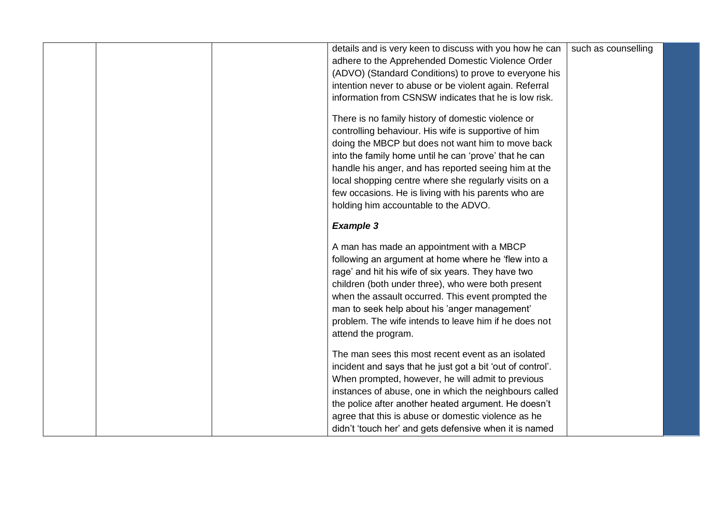|  | details and is very keen to discuss with you how he can                                                         | such as counselling |
|--|-----------------------------------------------------------------------------------------------------------------|---------------------|
|  | adhere to the Apprehended Domestic Violence Order                                                               |                     |
|  | (ADVO) (Standard Conditions) to prove to everyone his                                                           |                     |
|  | intention never to abuse or be violent again. Referral                                                          |                     |
|  | information from CSNSW indicates that he is low risk.                                                           |                     |
|  | There is no family history of domestic violence or                                                              |                     |
|  | controlling behaviour. His wife is supportive of him                                                            |                     |
|  | doing the MBCP but does not want him to move back                                                               |                     |
|  | into the family home until he can 'prove' that he can                                                           |                     |
|  | handle his anger, and has reported seeing him at the                                                            |                     |
|  | local shopping centre where she regularly visits on a                                                           |                     |
|  | few occasions. He is living with his parents who are                                                            |                     |
|  | holding him accountable to the ADVO.                                                                            |                     |
|  |                                                                                                                 |                     |
|  | <b>Example 3</b>                                                                                                |                     |
|  | A man has made an appointment with a MBCP                                                                       |                     |
|  | following an argument at home where he 'flew into a                                                             |                     |
|  | rage' and hit his wife of six years. They have two                                                              |                     |
|  | children (both under three), who were both present                                                              |                     |
|  | when the assault occurred. This event prompted the                                                              |                     |
|  | man to seek help about his 'anger management'                                                                   |                     |
|  | problem. The wife intends to leave him if he does not                                                           |                     |
|  | attend the program.                                                                                             |                     |
|  |                                                                                                                 |                     |
|  | The man sees this most recent event as an isolated                                                              |                     |
|  | incident and says that he just got a bit 'out of control'.<br>When prompted, however, he will admit to previous |                     |
|  | instances of abuse, one in which the neighbours called                                                          |                     |
|  | the police after another heated argument. He doesn't                                                            |                     |
|  | agree that this is abuse or domestic violence as he                                                             |                     |
|  | didn't 'touch her' and gets defensive when it is named                                                          |                     |
|  |                                                                                                                 |                     |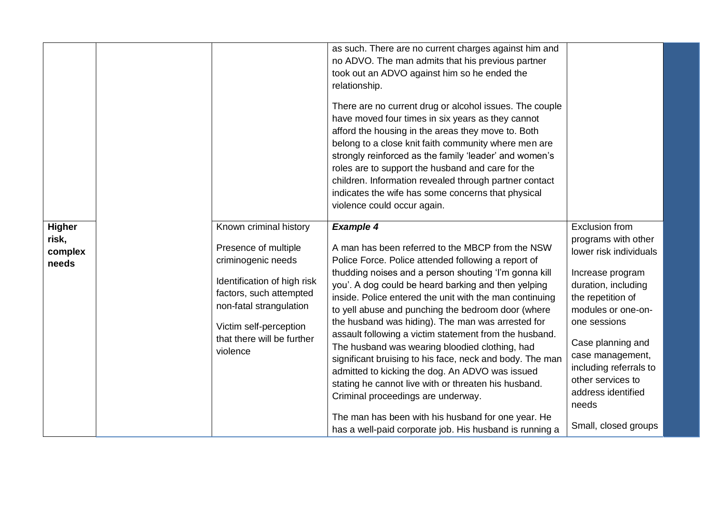|                                            |                                                                                                                                                                                                                               | as such. There are no current charges against him and<br>no ADVO. The man admits that his previous partner<br>took out an ADVO against him so he ended the<br>relationship.<br>There are no current drug or alcohol issues. The couple<br>have moved four times in six years as they cannot<br>afford the housing in the areas they move to. Both<br>belong to a close knit faith community where men are<br>strongly reinforced as the family 'leader' and women's<br>roles are to support the husband and care for the<br>children. Information revealed through partner contact<br>indicates the wife has some concerns that physical<br>violence could occur again.                                                                                                                                                                                     |                                                                                                                                                                                                                                                                                                                             |  |
|--------------------------------------------|-------------------------------------------------------------------------------------------------------------------------------------------------------------------------------------------------------------------------------|-------------------------------------------------------------------------------------------------------------------------------------------------------------------------------------------------------------------------------------------------------------------------------------------------------------------------------------------------------------------------------------------------------------------------------------------------------------------------------------------------------------------------------------------------------------------------------------------------------------------------------------------------------------------------------------------------------------------------------------------------------------------------------------------------------------------------------------------------------------|-----------------------------------------------------------------------------------------------------------------------------------------------------------------------------------------------------------------------------------------------------------------------------------------------------------------------------|--|
| <b>Higher</b><br>risk,<br>complex<br>needs | Known criminal history<br>Presence of multiple<br>criminogenic needs<br>Identification of high risk<br>factors, such attempted<br>non-fatal strangulation<br>Victim self-perception<br>that there will be further<br>violence | <b>Example 4</b><br>A man has been referred to the MBCP from the NSW<br>Police Force. Police attended following a report of<br>thudding noises and a person shouting 'I'm gonna kill<br>you'. A dog could be heard barking and then yelping<br>inside. Police entered the unit with the man continuing<br>to yell abuse and punching the bedroom door (where<br>the husband was hiding). The man was arrested for<br>assault following a victim statement from the husband.<br>The husband was wearing bloodied clothing, had<br>significant bruising to his face, neck and body. The man<br>admitted to kicking the dog. An ADVO was issued<br>stating he cannot live with or threaten his husband.<br>Criminal proceedings are underway.<br>The man has been with his husband for one year. He<br>has a well-paid corporate job. His husband is running a | <b>Exclusion from</b><br>programs with other<br>lower risk individuals<br>Increase program<br>duration, including<br>the repetition of<br>modules or one-on-<br>one sessions<br>Case planning and<br>case management,<br>including referrals to<br>other services to<br>address identified<br>needs<br>Small, closed groups |  |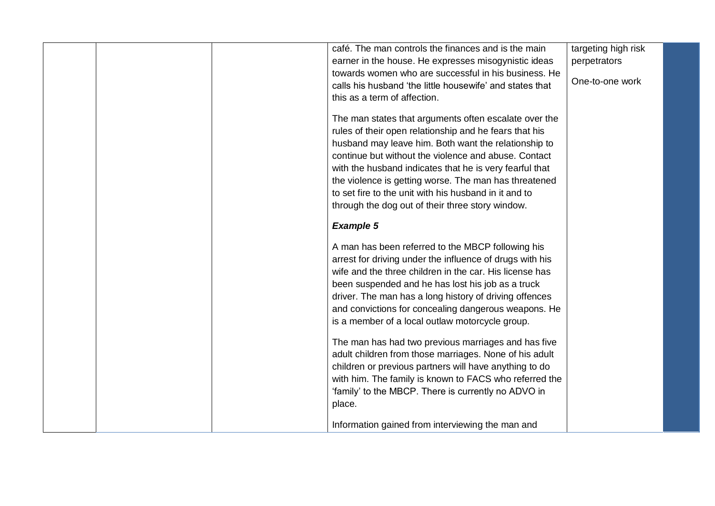| café. The man controls the finances and is the main      | targeting high risk |  |
|----------------------------------------------------------|---------------------|--|
| earner in the house. He expresses misogynistic ideas     | perpetrators        |  |
| towards women who are successful in his business. He     |                     |  |
| calls his husband 'the little housewife' and states that | One-to-one work     |  |
| this as a term of affection.                             |                     |  |
| The man states that arguments often escalate over the    |                     |  |
| rules of their open relationship and he fears that his   |                     |  |
| husband may leave him. Both want the relationship to     |                     |  |
| continue but without the violence and abuse. Contact     |                     |  |
| with the husband indicates that he is very fearful that  |                     |  |
| the violence is getting worse. The man has threatened    |                     |  |
| to set fire to the unit with his husband in it and to    |                     |  |
| through the dog out of their three story window.         |                     |  |
|                                                          |                     |  |
| <b>Example 5</b>                                         |                     |  |
| A man has been referred to the MBCP following his        |                     |  |
| arrest for driving under the influence of drugs with his |                     |  |
| wife and the three children in the car. His license has  |                     |  |
| been suspended and he has lost his job as a truck        |                     |  |
| driver. The man has a long history of driving offences   |                     |  |
| and convictions for concealing dangerous weapons. He     |                     |  |
| is a member of a local outlaw motorcycle group.          |                     |  |
|                                                          |                     |  |
| The man has had two previous marriages and has five      |                     |  |
| adult children from those marriages. None of his adult   |                     |  |
| children or previous partners will have anything to do   |                     |  |
| with him. The family is known to FACS who referred the   |                     |  |
| 'family' to the MBCP. There is currently no ADVO in      |                     |  |
| place.                                                   |                     |  |
|                                                          |                     |  |
| Information gained from interviewing the man and         |                     |  |